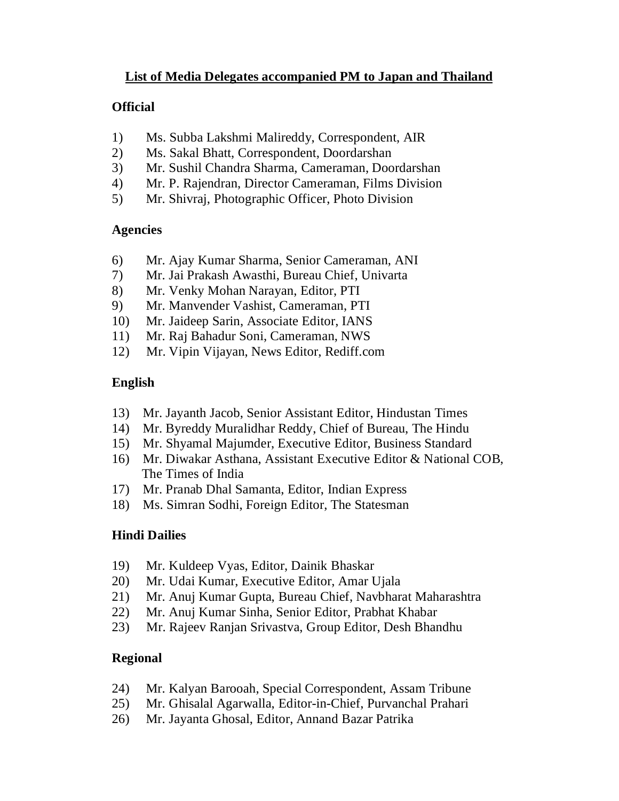# **List of Media Delegates accompanied PM to Japan and Thailand**

### **Official**

- 1) Ms. Subba Lakshmi Malireddy, Correspondent, AIR
- 2) Ms. Sakal Bhatt, Correspondent, Doordarshan
- 3) Mr. Sushil Chandra Sharma, Cameraman, Doordarshan
- 4) Mr. P. Rajendran, Director Cameraman, Films Division
- 5) Mr. Shivraj, Photographic Officer, Photo Division

#### **Agencies**

- 6) Mr. Ajay Kumar Sharma, Senior Cameraman, ANI
- 7) Mr. Jai Prakash Awasthi, Bureau Chief, Univarta
- 8) Mr. Venky Mohan Narayan, Editor, PTI
- 9) Mr. Manvender Vashist, Cameraman, PTI
- 10) Mr. Jaideep Sarin, Associate Editor, IANS
- 11) Mr. Raj Bahadur Soni, Cameraman, NWS
- 12) Mr. Vipin Vijayan, News Editor, Rediff.com

### **English**

- 13) Mr. Jayanth Jacob, Senior Assistant Editor, Hindustan Times
- 14) Mr. Byreddy Muralidhar Reddy, Chief of Bureau, The Hindu
- 15) Mr. Shyamal Majumder, Executive Editor, Business Standard
- 16) Mr. Diwakar Asthana, Assistant Executive Editor & National COB, The Times of India
- 17) Mr. Pranab Dhal Samanta, Editor, Indian Express
- 18) Ms. Simran Sodhi, Foreign Editor, The Statesman

### **Hindi Dailies**

- 19) Mr. Kuldeep Vyas, Editor, Dainik Bhaskar
- 20) Mr. Udai Kumar, Executive Editor, Amar Ujala
- 21) Mr. Anuj Kumar Gupta, Bureau Chief, Navbharat Maharashtra
- 22) Mr. Anuj Kumar Sinha, Senior Editor, Prabhat Khabar
- 23) Mr. Rajeev Ranjan Srivastva, Group Editor, Desh Bhandhu

### **Regional**

- 24) Mr. Kalyan Barooah, Special Correspondent, Assam Tribune
- 25) Mr. Ghisalal Agarwalla, Editor-in-Chief, Purvanchal Prahari
- 26) Mr. Jayanta Ghosal, Editor, Annand Bazar Patrika